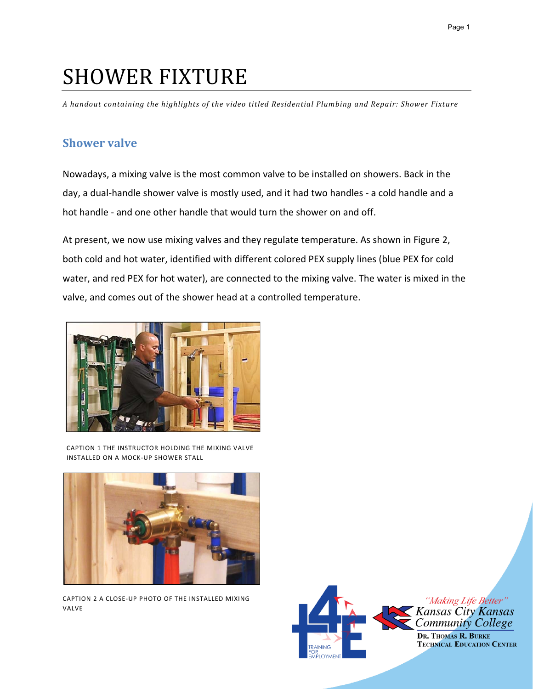# SHOWER FIXTURE

*A handout containing the highlights of the video titled Residential Plumbing and Repair: Shower Fixture* 

#### **Shower valve**

Nowadays, a mixing valve is the most common valve to be installed on showers. Back in the day, a dual-handle shower valve is mostly used, and it had two handles - a cold handle and a hot handle - and one other handle that would turn the shower on and off.

At present, we now use mixing valves and they regulate temperature. As shown in Figure 2, both cold and hot water, identified with different colored PEX supply lines (blue PEX for cold water, and red PEX for hot water), are connected to the mixing valve. The water is mixed in the valve, and comes out of the shower head at a controlled temperature.



CAPTION 1 THE INSTRUCTOR HOLDING THE MIXING VALVE INSTALLED ON A MOCK-UP SHOWER STALL



CAPTION 2 A CLOSE-UP PHOTO OF THE INSTALLED MIXING VALVE

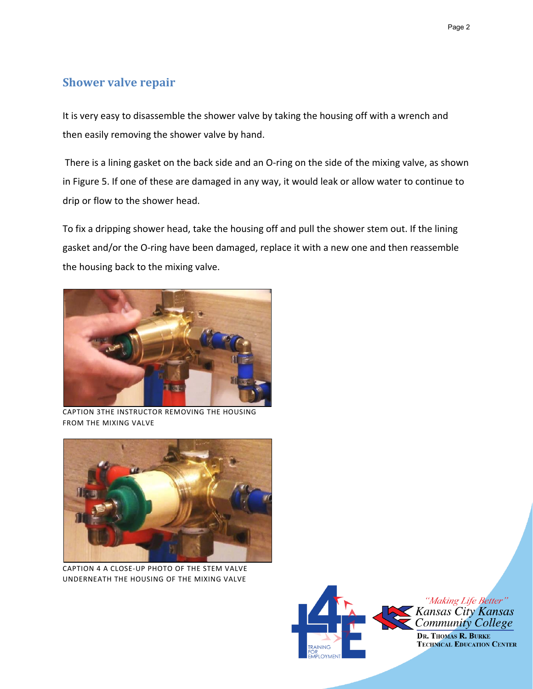# **Shower valve repair**

It is very easy to disassemble the shower valve by taking the housing off with a wrench and then easily removing the shower valve by hand.

There is a lining gasket on the back side and an O-ring on the side of the mixing valve, as shown in Figure 5. If one of these are damaged in any way, it would leak or allow water to continue to drip or flow to the shower head.

To fix a dripping shower head, take the housing off and pull the shower stem out. If the lining gasket and/or the O-ring have been damaged, replace it with a new one and then reassemble the housing back to the mixing valve.



CAPTION 3THE INSTRUCTOR REMOVING THE HOUSING FROM THE MIXING VALVE



CAPTION 4 A CLOSE-UP PHOTO OF THE STEM VALVE UNDERNEATH THE HOUSING OF THE MIXING VALVE